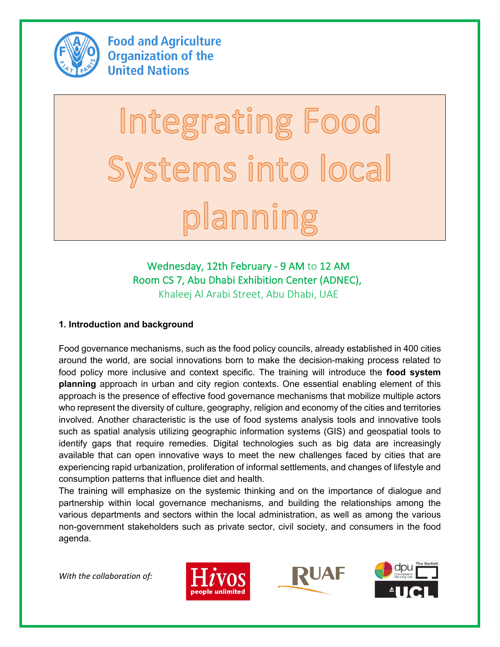

**Food and Agriculture Organization of the United Nations** 

# Integrating Food Systems into local planning

# Wednesday, 12th February - 9 AM to 12 AM Room CS 7, Abu Dhabi Exhibition Center (ADNEC), Khaleej Al Arabi Street, Abu Dhabi, UAE

# **1. Introduction and background**

Food governance mechanisms, such as the food policy councils, already established in 400 cities around the world, are social innovations born to make the decision-making process related to food policy more inclusive and context specific. The training will introduce the **food system planning** approach in urban and city region contexts. One essential enabling element of this approach is the presence of effective food governance mechanisms that mobilize multiple actors who represent the diversity of culture, geography, religion and economy of the cities and territories involved. Another characteristic is the use of food systems analysis tools and innovative tools such as spatial analysis utilizing geographic information systems (GIS) and geospatial tools to identify gaps that require remedies. Digital technologies such as big data are increasingly available that can open innovative ways to meet the new challenges faced by cities that are experiencing rapid urbanization, proliferation of informal settlements, and changes of lifestyle and consumption patterns that influence diet and health.

The training will emphasize on the systemic thinking and on the importance of dialogue and partnership within local governance mechanisms, and building the relationships among the various departments and sectors within the local administration, as well as among the various non-government stakeholders such as private sector, civil society, and consumers in the food agenda.

*With the collaboration of:*





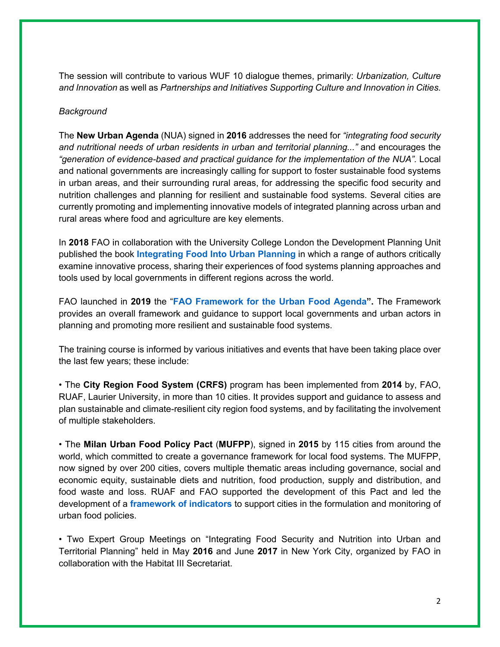The session will contribute to various WUF 10 dialogue themes, primarily: *Urbanization, Culture and Innovation* as well as *Partnerships and Initiatives Supporting Culture and Innovation in Cities.*

#### *Background*

The **New Urban Agenda** (NUA) signed in **2016** addresses the need for *"integrating food security and nutritional needs of urban residents in urban and territorial planning..."* and encourages the *"generation of evidence-based and practical guidance for the implementation of the NUA".* Local and national governments are increasingly calling for support to foster sustainable food systems in urban areas, and their surrounding rural areas, for addressing the specific food security and nutrition challenges and planning for resilient and sustainable food systems. Several cities are currently promoting and implementing innovative models of integrated planning across urban and rural areas where food and agriculture are key elements.

In **2018** FAO in collaboration with the University College London the Development Planning Unit published the book **Integrating Food Into Urban Planning** in which a range of authors critically examine innovative process, sharing their experiences of food systems planning approaches and tools used by local governments in different regions across the world.

FAO launched in **2019** the "**FAO Framework for the Urban Food Agenda".** The Framework provides an overall framework and guidance to support local governments and urban actors in planning and promoting more resilient and sustainable food systems.

The training course is informed by various initiatives and events that have been taking place over the last few years; these include:

• The **City Region Food System (CRFS)** program has been implemented from **2014** by, FAO, RUAF, Laurier University, in more than 10 cities. It provides support and guidance to assess and plan sustainable and climate-resilient city region food systems, and by facilitating the involvement of multiple stakeholders.

• The **Milan Urban Food Policy Pact** (**MUFPP**), signed in **2015** by 115 cities from around the world, which committed to create a governance framework for local food systems. The MUFPP, now signed by over 200 cities, covers multiple thematic areas including governance, social and economic equity, sustainable diets and nutrition, food production, supply and distribution, and food waste and loss. RUAF and FAO supported the development of this Pact and led the development of a **framework of indicators** to support cities in the formulation and monitoring of urban food policies.

• Two Expert Group Meetings on "Integrating Food Security and Nutrition into Urban and Territorial Planning" held in May **2016** and June **2017** in New York City, organized by FAO in collaboration with the Habitat III Secretariat.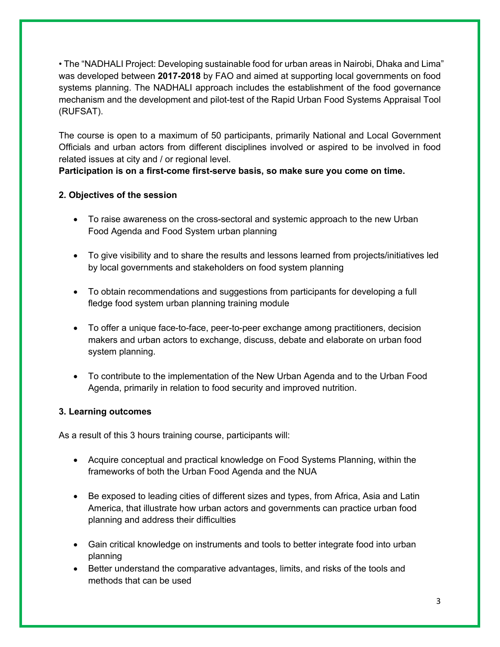• The "NADHALI Project: Developing sustainable food for urban areas in Nairobi, Dhaka and Lima" was developed between **2017-2018** by FAO and aimed at supporting local governments on food systems planning. The NADHALI approach includes the establishment of the food governance mechanism and the development and pilot-test of the Rapid Urban Food Systems Appraisal Tool (RUFSAT).

The course is open to a maximum of 50 participants, primarily National and Local Government Officials and urban actors from different disciplines involved or aspired to be involved in food related issues at city and / or regional level.

**Participation is on a first-come first-serve basis, so make sure you come on time.**

# **2. Objectives of the session**

- To raise awareness on the cross-sectoral and systemic approach to the new Urban Food Agenda and Food System urban planning
- To give visibility and to share the results and lessons learned from projects/initiatives led by local governments and stakeholders on food system planning
- To obtain recommendations and suggestions from participants for developing a full fledge food system urban planning training module
- To offer a unique face-to-face, peer-to-peer exchange among practitioners, decision makers and urban actors to exchange, discuss, debate and elaborate on urban food system planning.
- To contribute to the implementation of the New Urban Agenda and to the Urban Food Agenda, primarily in relation to food security and improved nutrition.

## **3. Learning outcomes**

As a result of this 3 hours training course, participants will:

- Acquire conceptual and practical knowledge on Food Systems Planning, within the frameworks of both the Urban Food Agenda and the NUA
- Be exposed to leading cities of different sizes and types, from Africa, Asia and Latin America, that illustrate how urban actors and governments can practice urban food planning and address their difficulties
- Gain critical knowledge on instruments and tools to better integrate food into urban planning
- Better understand the comparative advantages, limits, and risks of the tools and methods that can be used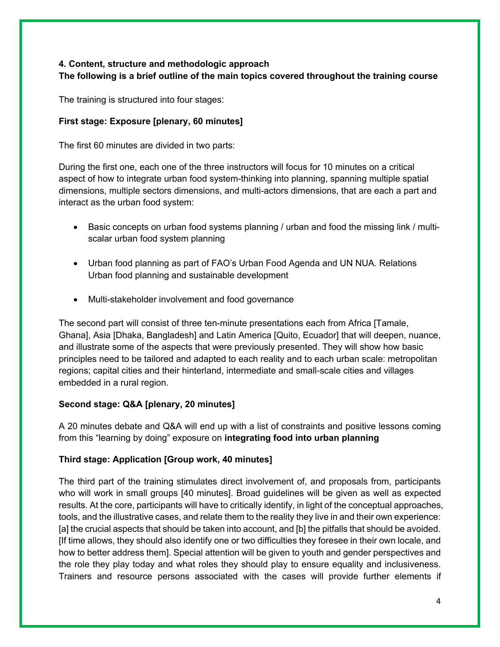# **4. Content, structure and methodologic approach**

# **The following is a brief outline of the main topics covered throughout the training course**

The training is structured into four stages:

## **First stage: Exposure [plenary, 60 minutes]**

The first 60 minutes are divided in two parts:

During the first one, each one of the three instructors will focus for 10 minutes on a critical aspect of how to integrate urban food system-thinking into planning, spanning multiple spatial dimensions, multiple sectors dimensions, and multi-actors dimensions, that are each a part and interact as the urban food system:

- Basic concepts on urban food systems planning / urban and food the missing link / multiscalar urban food system planning
- Urban food planning as part of FAO's Urban Food Agenda and UN NUA. Relations Urban food planning and sustainable development
- Multi-stakeholder involvement and food governance

The second part will consist of three ten-minute presentations each from Africa [Tamale, Ghana], Asia [Dhaka, Bangladesh] and Latin America [Quito, Ecuador] that will deepen, nuance, and illustrate some of the aspects that were previously presented. They will show how basic principles need to be tailored and adapted to each reality and to each urban scale: metropolitan regions; capital cities and their hinterland, intermediate and small-scale cities and villages embedded in a rural region.

## **Second stage: Q&A [plenary, 20 minutes]**

A 20 minutes debate and Q&A will end up with a list of constraints and positive lessons coming from this "learning by doing" exposure on **integrating food into urban planning**

## **Third stage: Application [Group work, 40 minutes]**

The third part of the training stimulates direct involvement of, and proposals from, participants who will work in small groups [40 minutes]. Broad guidelines will be given as well as expected results. At the core, participants will have to critically identify, in light of the conceptual approaches, tools, and the illustrative cases, and relate them to the reality they live in and their own experience: [a] the crucial aspects that should be taken into account, and [b] the pitfalls that should be avoided. [If time allows, they should also identify one or two difficulties they foresee in their own locale, and how to better address them]. Special attention will be given to youth and gender perspectives and the role they play today and what roles they should play to ensure equality and inclusiveness. Trainers and resource persons associated with the cases will provide further elements if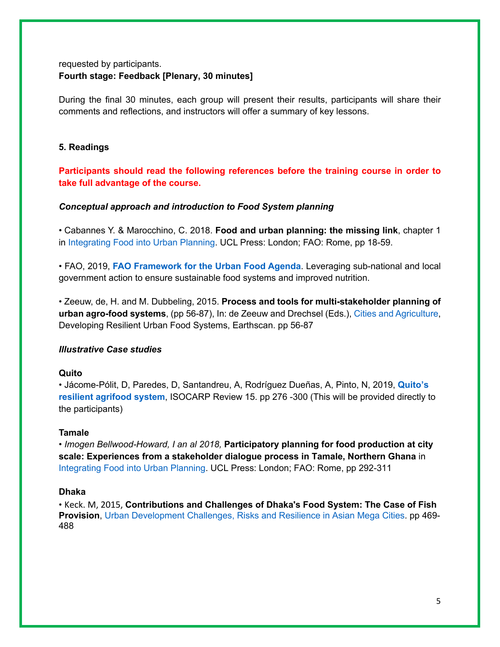## requested by participants. **Fourth stage: Feedback [Plenary, 30 minutes]**

During the final 30 minutes, each group will present their results, participants will share their comments and reflections, and instructors will offer a summary of key lessons.

#### **5. Readings**

**Participants should read the following references before the training course in order to take full advantage of the course.** 

#### *Conceptual approach and introduction to Food System planning*

• Cabannes Y. & Marocchino, C. 2018. **Food and urban planning: the missing link**, chapter 1 in Integrating Food into Urban Planning. UCL Press: London; FAO: Rome, pp 18-59.

• FAO, 2019, **FAO Framework for the Urban Food Agenda**. Leveraging sub-national and local government action to ensure sustainable food systems and improved nutrition.

• Zeeuw, de, H. and M. Dubbeling, 2015. **Process and tools for multi-stakeholder planning of urban agro-food systems**, (pp 56-87), In: de Zeeuw and Drechsel (Eds.), Cities and Agriculture, Developing Resilient Urban Food Systems, Earthscan. pp 56-87

### *Illustrative Case studies*

#### **Quito**

• Jácome-Pólit, D, Paredes, D, Santandreu, A, Rodríguez Dueñas, A, Pinto, N, 2019, **Quito's resilient agrifood system**, ISOCARP Review 15. pp 276 -300 (This will be provided directly to the participants)

#### **Tamale**

*• Imogen Bellwood-Howard, I an al 2018,* **Participatory planning for food production at city scale: Experiences from a stakeholder dialogue process in Tamale, Northern Ghana** in Integrating Food into Urban Planning. UCL Press: London; FAO: Rome, pp 292-311

#### **Dhaka**

*•* Keck. M, 2015, **Contributions and Challenges of Dhaka's Food System: The Case of Fish Provision**, Urban Development Challenges, Risks and Resilience in Asian Mega Cities. pp 469- 488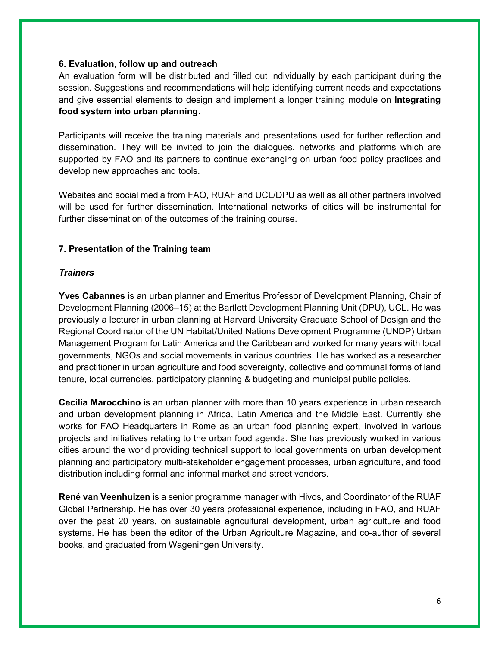#### **6. Evaluation, follow up and outreach**

An evaluation form will be distributed and filled out individually by each participant during the session. Suggestions and recommendations will help identifying current needs and expectations and give essential elements to design and implement a longer training module on **Integrating food system into urban planning**.

Participants will receive the training materials and presentations used for further reflection and dissemination. They will be invited to join the dialogues, networks and platforms which are supported by FAO and its partners to continue exchanging on urban food policy practices and develop new approaches and tools.

Websites and social media from FAO, RUAF and UCL/DPU as well as all other partners involved will be used for further dissemination. International networks of cities will be instrumental for further dissemination of the outcomes of the training course.

## **7. Presentation of the Training team**

### *Trainers*

**Yves Cabannes** is an urban planner and Emeritus Professor of Development Planning, Chair of Development Planning (2006–15) at the Bartlett Development Planning Unit (DPU), UCL. He was previously a lecturer in urban planning at Harvard University Graduate School of Design and the Regional Coordinator of the UN Habitat/United Nations Development Programme (UNDP) Urban Management Program for Latin America and the Caribbean and worked for many years with local governments, NGOs and social movements in various countries. He has worked as a researcher and practitioner in urban agriculture and food sovereignty, collective and communal forms of land tenure, local currencies, participatory planning & budgeting and municipal public policies.

**Cecilia Marocchino** is an urban planner with more than 10 years experience in urban research and urban development planning in Africa, Latin America and the Middle East. Currently she works for FAO Headquarters in Rome as an urban food planning expert, involved in various projects and initiatives relating to the urban food agenda. She has previously worked in various cities around the world providing technical support to local governments on urban development planning and participatory multi-stakeholder engagement processes, urban agriculture, and food distribution including formal and informal market and street vendors.

**René van Veenhuizen** is a senior programme manager with Hivos, and Coordinator of the RUAF Global Partnership. He has over 30 years professional experience, including in FAO, and RUAF over the past 20 years, on sustainable agricultural development, urban agriculture and food systems. He has been the editor of the Urban Agriculture Magazine, and co-author of several books, and graduated from Wageningen University.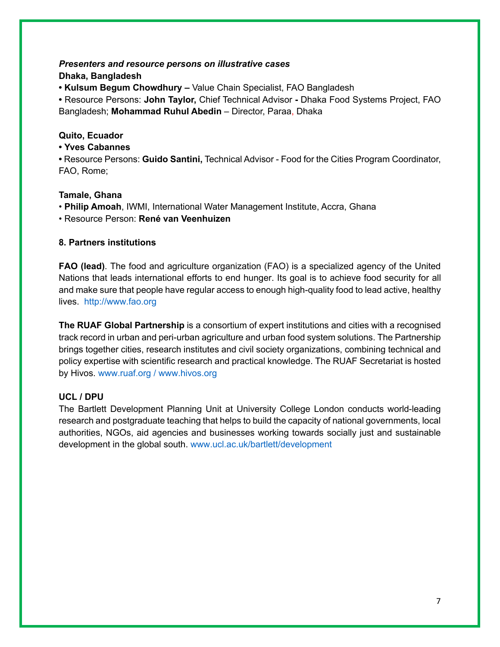# *Presenters and resource persons on illustrative cases* **Dhaka, Bangladesh**

**• Kulsum Begum Chowdhury –** Value Chain Specialist, FAO Bangladesh

**•** Resource Persons: **John Taylor,** Chief Technical Advisor **-** Dhaka Food Systems Project, FAO Bangladesh; **Mohammad Ruhul Abedin** – Director, Paraa, Dhaka

## **Quito, Ecuador**

### **• Yves Cabannes**

**•** Resource Persons: **Guido Santini,** Technical Advisor - Food for the Cities Program Coordinator, FAO, Rome;

## **Tamale, Ghana**

• **Philip Amoah**, IWMI, International Water Management Institute, Accra, Ghana

• Resource Person: **René van Veenhuizen**

## **8. Partners institutions**

**FAO (lead)**. The food and agriculture organization (FAO) is a specialized agency of the United Nations that leads international efforts to end hunger. Its goal is to achieve food security for all and make sure that people have regular access to enough high-quality food to lead active, healthy lives. http://www.fao.org

**The RUAF Global Partnership** is a consortium of expert institutions and cities with a recognised track record in urban and peri-urban agriculture and urban food system solutions. The Partnership brings together cities, research institutes and civil society organizations, combining technical and policy expertise with scientific research and practical knowledge. The RUAF Secretariat is hosted by Hivos. www.ruaf.org / www.hivos.org

### **UCL / DPU**

The Bartlett Development Planning Unit at University College London conducts world-leading research and postgraduate teaching that helps to build the capacity of national governments, local authorities, NGOs, aid agencies and businesses working towards socially just and sustainable development in the global south. www.ucl.ac.uk/bartlett/development